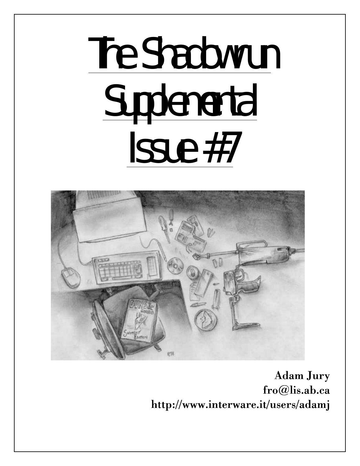# The Shadowrun **Supplemental** Issue #7



Adam Jury fro@lis.ab.ca http://www.interware.it/users/adamj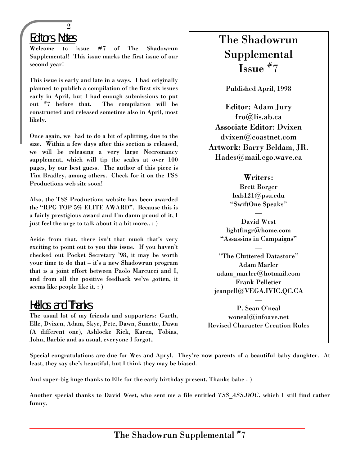# Editors Notes

 $\overline{2}$ 

Welcome to issue #7 of The Shadowrun Supplemental! This issue marks the first issue of our second year!

This issue is early and late in a ways. I had originally planned to publish a compilation of the first six issues early in April, but I had enough submissions to put out # 7 before that. The compilation will be constructed and released sometime also in April, most likely.

Once again, we had to do a bit of splitting, due to the size. Within a few days after this section is released, we will be releasing a very large Necromancy supplement, which will tip the scales at over 100 pages, by our best guess. The author of this piece is Tim Bradley, among others. Check for it on the TSS Productions web site soon!

Also, the TSS Productions website has been awarded the "RPG TOP 5% ELITE AWARD". Because this is a fairly prestigious award and I'm damn proud of it, I just feel the urge to talk about it a bit more.. : )

Aside from that, there isn't that much that's very exciting to point out to you this issue. If you haven't checked out Pocket Secretary '98, it may be worth your time to do that – it's a new Shadowrun program that is a joint effort between Paolo Marcucci and I, and from all the positive feedback we've gotten, it seems like people like it. : )

## Hellos and Thanks

The usual lot of my friends and supporters: Gurth, Elle, Dvixen, Adam, Skye, Pete, Dawn, Sunette, Dawn (A different one), Ashlocke Rick, Karen, Tobias, John, Barbie and as usual, everyone I forgot..

# The Shadowrun Supplemental Issue # 7

Published April, 1998

Editor: Adam Jury fro@lis.ab.ca Associate Editor: Dvixen dvixen@coastnet.com Artwork: Barry Beldam, JR. Hades@mail.cgo.wave.ca

## Writers:

Brett Borger bxb121@psu.edu "SwiftOne Speaks"

— David West lightfingr@home.com "Assassins in Campaigns"

—

"The Cluttered Datastore" Adam Marler adam\_marler@hotmail.com Frank Pelletier jeanpell@VEGA.IVIC.QC.CA

— P. Sean O'neal woneal@infoave.net Revised Character Creation Rules

Special congratulations are due for Wes and Apryl. They're now parents of a beautiful baby daughter. At least, they say she's beautiful, but I think they may be biased.

And super-big huge thanks to Elle for the early birthday present. Thanks babe : )

Another special thanks to David West, who sent me a file entitled *TSS\_ASS.DOC*, which I still find rather funny.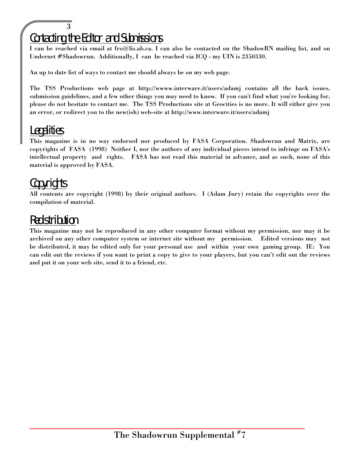## 3 Contacting the Editor and Submissions

I can be reached via email at fro@lis.ab.ca. I can also be contacted on the ShadowRN mailing list, and on Undernet #Shadowrun. Additionally, I can be reached via ICQ - my UIN is 2350330.

An up to date list of ways to contact me should always be on my web page.

The TSS Productions web page at http://wwww.interware.it/users/adamj contains all the back issues, submission guidelines, and a few other things you may need to know. If you can't find what you're looking for, please do not hesitate to contact me. The TSS Productions site at Geocities is no more. It will either give you an error, or redirect you to the new(ish) web-site at http://www.interware.it/users/adamj

# Legalities

This magazine is in no way endorsed nor produced by FASA Corporation. Shadowrun and Matrix, are copyrights of FASA (1998) Neither I, nor the authors of any individual pieces intend to infringe on FASA's intellectual property and rights. FASA has not read this material in advance, and as such, none of this material is approved by FASA.

# Copyrights

All contents are copyright (1998) by their original authors. I (Adam Jury) retain the copyrights over the compilation of material.

# Redistribution

This magazine may not be reproduced in any other computer format without my permission, nor may it be archived on any other computer system or internet site without my permission. Edited versions may not be distributed, it may be edited only for your personal use and within your own gaming group. IE: You can edit out the reviews if you want to print a copy to give to your players, but you can't edit out the reviews and put it on your web site, send it to a friend, etc.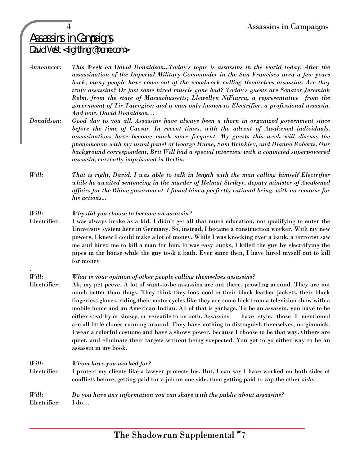# Assassins in Campaigns David West <lightfingr@home.com>

*Announcer: This Week on David Donaldson...Today's topic is assassins in the world today. After the assassination of the Imperial Military Commander in the San Francisco area a few years back, many people have come out of the woodwork calling themselves assassins. Are they truly assassins? Or just some hired muscle gone bad? Today's guests are Senator Jeremiah Relm, from the state of Massachussetts; Llewellyn NiFiarra, a representative from the government of Tir Tairngire; and a man only known as Electrifier, a professional assassin. And now, David Donaldson…*

- *Donaldson: Good day to you all. Assassins have always been a thorn in organized government since before the time of Caesar. In recent times, with the advent of Awakened individuals, assassinations have become much more frequent. My guests this week will discuss the phenomenon with my usual panel of George Hume, Sam Brinkley, and Dianne Roberts. Our background correspondent, Brit Will had a special interview with a convicted superpowered assassin, currently imprisoned in Berlin.*
- *Will: That is right, David. I was able to talk in length with the man calling himself Electrifier while he awaited sentencing in the murder of Helmut Strikyr, deputy minister of Awakened affairs for the Rhine government. I found him a perfectly rational being, with no remorse for his actions...*

## *Will: Why did you choose to become an assassin?*

Electrifier: I was always broke as a kid. I didn't get all that much education, not qualifying to enter the University system here in Germany. So, instead, I became a construction worker. With my new powers, I knew I could make a lot of money. While I was knocking over a bank, a terrorist saw me and hired me to kill a man for him. It was easy bucks, I killed the guy by electrifying the pipes in the house while the guy took a bath. Ever since then, I have hired myself out to kill for money

#### *Will: What is your opinion of other people calling themselves assassins?*

Electrifier: Ah, my pet peeve. A lot of want-to-be assassins are out there, prowling around. They are not much better than thugs. They think they look cool in their black leather jackets, their black fingerless gloves, riding their motorcycles like they are some hick from a television show with a mobile home and an American Indian. All of that is garbage. To be an assassin, you have to be either stealthy or showy, or versatile to be both. Assassins have style, those I mentioned are all little clones running around. They have nothing to distinguish themselves, no gimmick. I wear a colorful costume and have a showy power, because I choose to be that way. Others are quiet, and eliminate their targets without being suspected. You got to go either way to be an assassin in my book.

## *Will: Whom have you worked for?*

.

Electrifier: I protect my clients like a lawyer protects his. But, I can say I have worked on both sides of conflicts before, getting paid for a job on one side, then getting paid to zap the other *side.*

## *Will: Do you have any information you can share with the public about assassins?* Electrifier: I do…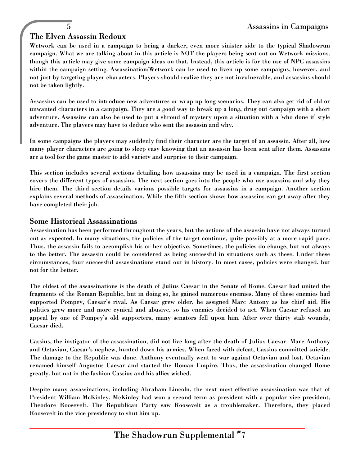## The Elven Assassin Redoux

Wetwork can be used in a campaign to bring a darker, even more sinister side to the typical Shadowrun campaign. What we are talking about in this article is NOT the players being sent out on Wetwork missions, though this article may give some campaign ideas on that. Instead, this article is for the use of NPC assassins within the campaign setting. Assassination/Wetwork can be used to liven up some campaigns, however, and not just by targeting player characters. Players should realize they are not invulnerable, and assassins should not be taken lightly.

Assassins can be used to introduce new adventures or wrap up long scenarios. They can also get rid of old or unwanted characters in a campaign. They are a good way to break up a long, drug out campaign with a short adventure. Assassins can also be used to put a shroud of mystery upon a situation with a 'who done it' style adventure. The players may have to deduce who sent the assassin and why.

In some campaigns the players may suddenly find their character are the target of an assassin. After all, how many player characters are going to sleep easy knowing that an assassin has been sent after them. Assassins are a tool for the game master to add variety and surprise to their campaign.

This section includes several sections detailing how assassins may be used in a campaign. The first section covers the different types of assassins. The next section goes into the people who use assassins and why they hire them. The third section details various possible targets for assassins in a campaign. Another section explains several methods of assassination. While the fifth section shows how assassins can get away after they have completed their job.

## Some Historical Assassinations

Assassination has been performed throughout the years, but the actions of the assassin have not always turned out as expected. In many situations, the policies of the target continue, quite possibly at a more rapid pace. Thus, the assassin fails to accomplish his or her objective. Sometimes, the policies do change, but not always to the better. The assassin could be considered as being successful in situations such as these. Under these circumstances, four successful assassinations stand out in history. In most cases, policies were changed, but not for the better.

The oldest of the assassinations is the death of Julius Caesar in the Senate of Rome. Caesar had united the fragments of the Roman Republic, but in doing so, he gained numerous enemies. Many of these enemies had supported Pompey, Caesar's rival. As Caesar grew older, he assigned Marc Antony as his chief aid. His politics grew more and more cynical and abusive, so his enemies decided to act. When Caesar refused an appeal by one of Pompey's old supporters, many senators fell upon him. After over thirty stab wounds, Caesar died.

Cassius, the instigator of the assassination, did not live long after the death of Julius Caesar. Marc Anthony and Octavian, Caesar's nephew, hunted down his armies. When faced with defeat, Cassius committed suicide. The damage to the Republic was done. Anthony eventually went to war against Octavian and lost. Octavian renamed himself Augustus Caesar and started the Roman Empire. Thus, the assassination changed Rome greatly, but not in the fashion Cassius and his allies wished.

Despite many assassinations, including Abraham Lincoln, the next most effective assassination was that of President William McKinley. McKinley had won a second term as president with a popular vice president, Theodore Roosevelt. The Republican Party saw Roosevelt as a troublemaker. Therefore, they placed Roosevelt in the vice presidency to shut him up.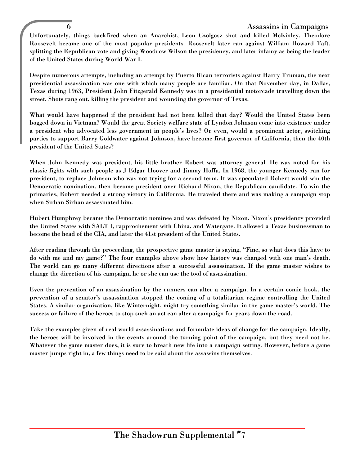## 6 Assassins in Campaigns

Unfortunately, things backfired when an Anarchist, Leon Czolgosz shot and killed McKinley. Theodore Roosevelt became one of the most popular presidents. Roosevelt later ran against William Howard Taft, splitting the Republican vote and giving Woodrow Wilson the presidency, and later infamy as being the leader of the United States during World War I.

Despite numerous attempts, including an attempt by Puerto Rican terrorists against Harry Truman, the next presidential assassination was one with which many people are familiar. On that November day, in Dallas, Texas during 1963, President John Fitzgerald Kennedy was in a presidential motorcade travelling down the street. Shots rang out, killing the president and wounding the governor of Texas.

What would have happened if the president had not been killed that day? Would the United States been bogged down in Vietnam? Would the great Society welfare state of Lyndon Johnson come into existence under a president who advocated less government in people's lives? Or even, would a prominent actor, switching parties to support Barry Goldwater against Johnson, have become first governor of California, then the 40th president of the United States?

When John Kennedy was president, his little brother Robert was attorney general. He was noted for his classic fights with such people as J Edgar Hoover and Jimmy Hoffa. In 1968, the younger Kennedy ran for president, to replace Johnson who was not trying for a second term. It was speculated Robert would win the Democratic nomination, then become president over Richard Nixon, the Republican candidate. To win the primaries, Robert needed a strong victory in California. He traveled there and was making a campaign stop when Sirhan Sirhan assassinated him.

Hubert Humphrey became the Democratic nominee and was defeated by Nixon. Nixon's presidency provided the United States with SALT I, rapprochement with China, and Watergate. It allowed a Texas businessman to become the head of the CIA, and later the 41st president of the United States.

After reading through the proceeding, the prospective game master is saying, "Fine, so what does this have to do with me and my game?" The four examples above show how history was changed with one man's death. The world can go many different directions after a successful assassination. If the game master wishes to change the direction of his campaign, he or she can use the tool of assassination.

Even the prevention of an assassination by the runners can alter a campaign. In a certain comic book, the prevention of a senator's assassination stopped the coming of a totalitarian regime controlling the United States. A similar organization, like Winternight, might try something similar in the game master's world. The success or failure of the heroes to stop such an act can alter a campaign for years down the road.

Take the examples given of real world assassinations and formulate ideas of change for the campaign. Ideally, the heroes will be involved in the events around the turning point of the campaign, but they need not be. Whatever the game master does, it is sure to breath new life into a campaign setting. However, before a game master jumps right in, a few things need to be said about the assassins themselves.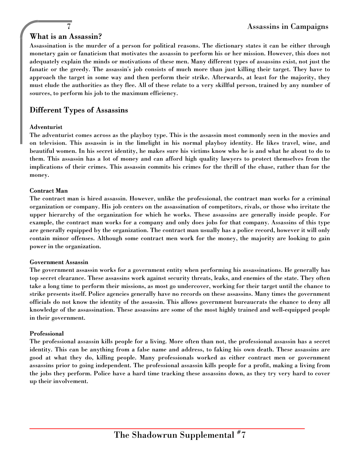## What is an Assassin?

Assassination is the murder of a person for political reasons. The dictionary states it can be either through monetary gain or fanaticism that motivates the assassin to perform his or her mission. However, this does not adequately explain the minds or motivations of these men. Many different types of assassins exist, not just the fanatic or the greedy. The assassin's job consists of much more than just killing their target. They have to approach the target in some way and then perform their strike. Afterwards, at least for the majority, they must elude the authorities as they flee. All of these relate to a very skillful person, trained by any number of sources, to perform his job to the maximum efficiency.

## Different Types of Assassins

#### Adventurist

The adventurist comes across as the playboy type. This is the assassin most commonly seen in the movies and on television. This assassin is in the limelight in his normal playboy identity. He likes travel, wine, and beautiful women. In his secret identity, he makes sure his victims know who he is and what he about to do to them. This assassin has a lot of money and can afford high quality lawyers to protect themselves from the implications of their crimes. This assassin commits his crimes for the thrill of the chase, rather than for the money.

#### Contract Man

The contract man is hired assassin. However, unlike the professional, the contract man works for a criminal organization or company. His job centers on the assassination of competitors, rivals, or those who irritate the upper hierarchy of the organization for which he works. These assassins are generally inside people. For example, the contract man works for a company and only does jobs for that company. Assassins of this type are generally equipped by the organization. The contract man usually has a police record, however it will only contain minor offenses. Although some contract men work for the money, the majority are looking to gain power in the organization.

## Government Assassin

The government assassin works for a government entity when performing his assassinations. He generally has top secret clearance. These assassins work against security threats, leaks, and enemies of the state. They often take a long time to perform their missions, as most go undercover, working for their target until the chance to strike presents itself. Police agencies generally have no records on these assassins. Many times the government officials do not know the identity of the assassin. This allows government bureaucrats the chance to deny all knowledge of the assassination. These assassins are some of the most highly trained and well-equipped people in their government.

## Professional

The professional assassin kills people for a living. More often than not, the professional assassin has a secret identity. This can be anything from a false name and address, to faking his own death. These assassins are good at what they do, killing people. Many professionals worked as either contract men or government assassins prior to going independent. The professional assassin kills people for a profit, making a living from the jobs they perform. Police have a hard time tracking these assassins down, as they try very hard to cover up their involvement.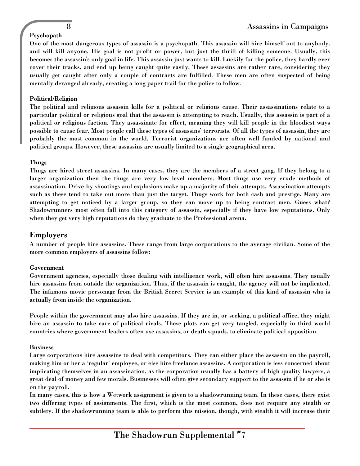## Psychopath

One of the most dangerous types of assassin is a psychopath. This assassin will hire himself out to anybody, and will kill anyone. His goal is not profit or power, but just the thrill of killing someone. Usually, this becomes the assassin's only goal in life. This assassin just wants to kill. Luckily for the police, they hardly ever cover their tracks, and end up being caught quite easily. These assassins are rather rare, considering they usually get caught after only a couple of contracts are fulfilled. These men are often suspected of being mentally deranged already, creating a long paper trail for the police to follow.

## Political/Religion

The political and religious assassin kills for a political or religious cause. Their assassinations relate to a particular political or religious goal that the assassin is attempting to reach. Usually, this assassin is part of a political or religious faction. They assassinate for effect, meaning they will kill people in the bloodiest ways possible to cause fear. Most people call these types of assassins' terrorists. Of all the types of assassin, they are probably the most common in the world. Terrorist organizations are often well funded by national and political groups. However, these assassins are usually limited to a single geographical area.

#### Thugs

Thugs are hired street assassins. In many cases, they are the members of a street gang. If they belong to a larger organization then the thugs are very low level members. Most thugs use very crude methods of assassination. Drive-by shootings and explosions make up a majority of their attempts. Assassination attempts such as these tend to take out more than just the target. Thugs work for both cash and prestige. Many are attempting to get noticed by a larger group, so they can move up to being contract men. Guess what? Shadowrunners most often fall into this category of assassin, especially if they have low reputations. Only when they get very high reputations do they graduate to the Professional arena.

## Employers

A number of people hire assassins. These range from large corporations to the average civilian. Some of the more common employers of assassins follow:

#### Government

Government agencies, especially those dealing with intelligence work, will often hire assassins. They usually hire assassins from outside the organization. Thus, if the assassin is caught, the agency will not be implicated. The infamous movie personage from the British Secret Service is an example of this kind of assassin who is actually from inside the organization.

People within the government may also hire assassins. If they are in, or seeking, a political office, they might hire an assassin to take care of political rivals. These plots can get very tangled, especially in third world countries where government leaders often use assassins, or death squads, to eliminate political opposition.

#### Business

Large corporations hire assassins to deal with competitors. They can either place the assassin on the payroll, making him or her a 'regular' employee, or else hire freelance assassins. A corporation is less concerned about implicating themselves in an assassination, as the corporation usually has a battery of high quality lawyers, a great deal of money and few morals. Businesses will often give secondary support to the assassin if he or she is on the payroll.

In many cases, this is how a Wetwork assignment is given to a shadowrunning team. In these cases, there exist two differing types of assignments. The first, which is the most common, does not require any stealth or subtlety. If the shadowrunning team is able to perform this mission, though, with stealth it will increase their

The Shadowrun Supplemental  $^{\#}7$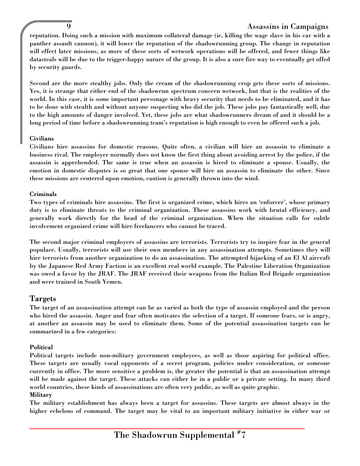## 9 Assassins in Campaigns

reputation. Doing such a mission with maximum collateral damage (ie, killing the wage slave in his car with a panther assault cannon), it will lower the reputation of the shadowrunning group. The change in reputation will effect later missions, as more of these sorts of wetwork operations will be offered, and fewer things like datasteals will be due to the trigger-happy nature of the group. It is also a sure fire way to eventually get offed by security guards.

Second are the more stealthy jobs. Only the cream of the shadowrunning crop gets these sorts of missions. Yes, it is strange that either end of the shadowrun spectrum concern wetwork, but that is the realities of the world. In this case, it is some important personage with heavy security that needs to be eliminated, and it has to be done with stealth and without anyone suspecting who did the job. These jobs pay fantastically well, due to the high amounts of danger involved. Yet, these jobs are what shadowrunners dream of and it should be a long period of time before a shadowrunning team's reputation is high enough to even be offered such a job.

#### Civilians

Civilians hire assassins for domestic reasons. Quite often, a civilian will hire an assassin to eliminate a business rival. The employer normally does not know the first thing about avoiding arrest by the police, if the assassin is apprehended. The same is true when an assassin is hired to eliminate a spouse. Usually, the emotion in domestic disputes is so great that one spouse will hire an assassin to eliminate the other. Since these missions are centered upon emotion, caution is generally thrown into the wind.

#### Criminals

Two types of criminals hire assassins. The first is organized crime, which hires an 'enforcer', whose primary duty is to eliminate threats to the criminal organization. These assassins work with brutal efficiency, and generally work directly for the head of the criminal organization. When the situation calls for subtle involvement organized crime will hire freelancers who cannot be traced.

The second major criminal employers of assassins are terrorists. Terrorists try to inspire fear in the general populace. Usually, terrorists will use their own members in any assassination attempts. Sometimes they will hire terrorists from another organization to do an assassination. The attempted hijacking of an El Al aircraft by the Japanese Red Army Faction is an excellent real world example. The Palestine Liberation Organization was owed a favor by the JRAF. The JRAF received their weapons from the Italian Red Brigade organization and were trained in South Yemen.

## Targets

The target of an assassination attempt can be as varied as both the type of assassin employed and the person who hired the assassin. Anger and fear often motivates the selection of a target. If someone fears, or is angry, at another an assassin may be used to eliminate them. Some of the potential assassination targets can be summarized in a few categories:

## Political

Political targets include non-military government employees, as well as those aspiring for political office. These targets are usually vocal opponents of a secret program, policies under consideration, or someone currently in office. The more sensitive a problem is, the greater the potential is that an assassination attempt will be made against the target. These attacks can either be in a public or a private setting. In many third world countries, these kinds of assassinations are often very public, as well as quite graphic.

## **Military**

The military establishment has always been a target for assassins. These targets are almost always in the higher echelons of command. The target may be vital to an important military initiative in either war or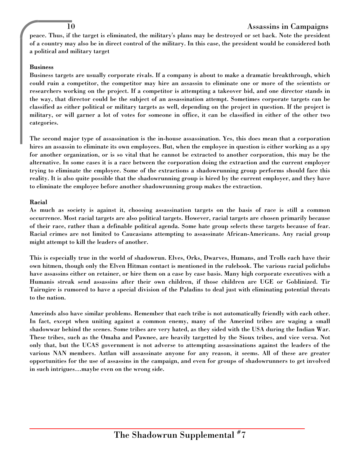## 10 Assassins in Campaigns

peace. Thus, if the target is eliminated, the military's plans may be destroyed or set back. Note the president of a country may also be in direct control of the military. In this case, the president would be considered both a political and military target

#### Business

Business targets are usually corporate rivals. If a company is about to make a dramatic breakthrough, which could ruin a competitor, the competitor may hire an assassin to eliminate one or more of the scientists or researchers working on the project. If a competitor is attempting a takeover bid, and one director stands in the way, that director could be the subject of an assassination attempt. Sometimes corporate targets can be classified as either political or military targets as well, depending on the project in question. If the project is military, or will garner a lot of votes for someone in office, it can be classified in either of the other two categories.

The second major type of assassination is the in-house assassination. Yes, this does mean that a corporation hires an assassin to eliminate its own employees. But, when the employee in question is either working as a spy for another organization, or is so vital that he cannot be extracted to another corporation, this may be the alternative. In some cases it is a race between the corporation doing the extraction and the current employer trying to eliminate the employee. Some of the extractions a shadowrunning group performs should face this reality. It is also quite possible that the shadowrunning group is hired by the current employer, and they have to eliminate the employee before another shadowrunning group makes the extraction.

#### Racial

As much as society is against it, choosing assassination targets on the basis of race is still a common occurrence. Most racial targets are also political targets. However, racial targets are chosen primarily because of their race, rather than a definable political agenda. Some hate group selects these targets because of fear. Racial crimes are not limited to Caucasians attempting to assassinate African-Americans. Any racial group might attempt to kill the leaders of another.

This is especially true in the world of shadowrun. Elves, Orks, Dwarves, Humans, and Trolls each have their own hitmen, though only the Elven Hitman contact is mentioned in the rulebook. The various racial policlubs have assassins either on retainer, or hire them on a case by case basis. Many high corporate executives with a Humanis streak send assassins after their own children, if those children are UGE or Goblinized. Tir Tairngire is rumored to have a special division of the Paladins to deal just with eliminating potential threats to the nation.

Amerinds also have similar problems. Remember that each tribe is not automatically friendly with each other. In fact, except when uniting against a common enemy, many of the Amerind tribes are waging a small shadowwar behind the scenes. Some tribes are very hated, as they sided with the USA during the Indian War. These tribes, such as the Omaha and Pawnee, are heavily targetted by the Sioux tribes, and vice versa. Not only that, but the UCAS government is not adverse to attempting assassinations against the leaders of the various NAN members. Aztlan will assassinate anyone for any reason, it seems. All of these are greater opportunities for the use of assassins in the campaign, and even for groups of shadowrunners to get involved in such intrigues…maybe even on the wrong side.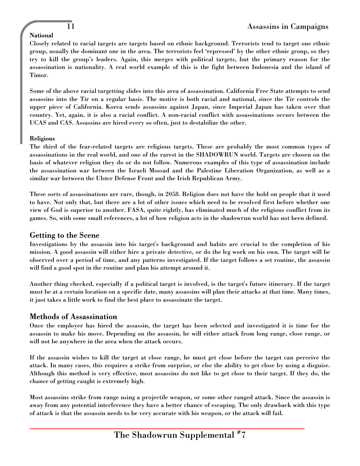## National

Closely related to racial targets are targets based on ethnic background. Terrorists tend to target one ethnic group, usually the dominant one in the area. The terrorists feel 'repressed' by the other ethnic group, so they try to kill the group's leaders. Again, this merges with political targets, but the primary reason for the assassination is nationality. A real world example of this is the fight between Indonesia and the island of Timor.

Some of the above racial targetting slides into this area of assassination. California Free State attempts to send assassins into the Tir on a regular basis. The motive is both racial and national, since the Tir controls the upper piece of California. Korea sends assassins against Japan, since Imperial Japan has taken over that country. Yet, again, it is also a racial conflict. A non-racial conflict with assassinations occurs between the UCAS and CAS. Assassins are hired every so often, just to destabilize the other.

## Religious

The third of the fear-related targets are religious targets. These are probably the most common types of assassinations in the real world, and one of the rarest in the SHADOWRUN world. Targets are chosen on the basis of whatever religion they do or do not follow. Numerous examples of this type of assassination include the assassination war between the Israeli Mossad and the Palestine Liberation Organization, as well as a similar war between the Ulster Defense Front and the Irish Republican Army.

These sorts of assassinations are rare, though, in 2058. Religion does not have the hold on people that it used to have. Not only that, but there are a lot of other issues which need to be resolved first before whether one view of God is superior to another. FASA, quite rightly, has eliminated much of the religious conflict from its games. So, with some small references, a lot of how religion acts in the shadowrun world has not been defined.

## Getting to the Scene

Investigations by the assassin into his target's background and habits are crucial to the completion of his mission. A good assassin will either hire a private detective, or do the leg work on his own. The target will be observed over a period of time, and any patterns investigated. If the target follows a set routine, the assassin will find a good spot in the routine and plan his attempt around it.

Another thing checked, especially if a political target is involved, is the target's future itinerary. If the target must be at a certain location on a specific date, many assassins will plan their attacks at that time. Many times, it just takes a little work to find the best place to assassinate the target.

## Methods of Assassination

Once the employer has hired the assassin, the target has been selected and investigated it is time for the assassin to make his move. Depending on the assassin, he will either attack from long range, close range, or will not be anywhere in the area when the attack occurs.

If the assassin wishes to kill the target at close range, he must get close before the target can perceive the attack. In many cases, this requires a strike from surprise, or else the ability to get close by using a disguise. Although this method is very effective, most assassins do not like to get close to their target. If they do, the chance of getting caught is extremely high.

Most assassins strike from range using a projectile weapon, or some other ranged attack. Since the assassin is away from any potential interference they have a better chance of escaping. The only drawback with this type of attack is that the assassin needs to be very accurate with his weapon, or the attack will fail.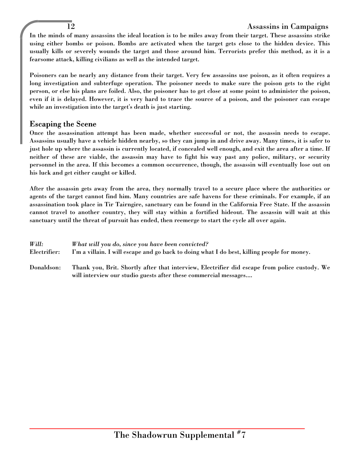## 12 Assassins in Campaigns

In the minds of many assassins the ideal location is to be miles away from their target. These assassins strike using either bombs or poison. Bombs are activated when the target gets close to the hidden device. This usually kills or severely wounds the target and those around him. Terrorists prefer this method, as it is a fearsome attack, killing civilians as well as the intended target.

Poisoners can be nearly any distance from their target. Very few assassins use poison, as it often requires a long investigation and subterfuge operation. The poisoner needs to make sure the poison gets to the right person, or else his plans are foiled. Also, the poisoner has to get close at some point to administer the poison, even if it is delayed. However, it is very hard to trace the source of a poison, and the poisoner can escape while an investigation into the target's death is just starting.

## Escaping the Scene

Once the assassination attempt has been made, whether successful or not, the assassin needs to escape. Assassins usually have a vehicle hidden nearby, so they can jump in and drive away. Many times, it is safer to just hole up where the assassin is currently located, if concealed well enough, and exit the area after a time. If neither of these are viable, the assassin may have to fight his way past any police, military, or security personnel in the area. If this becomes a common occurrence, though, the assassin will eventually lose out on his luck and get either caught or killed.

After the assassin gets away from the area, they normally travel to a secure place where the authorities or agents of the target cannot find him. Many countries are safe havens for these criminals. For example, if an assassination took place in Tir Tairngire, sanctuary can be found in the California Free State. If the assassin cannot travel to another country, they will stay within a fortified hideout. The assassin will wait at this sanctuary until the threat of pursuit has ended, then reemerge to start the cycle all over again.

| Will:        | What will you do, since you have been convicted?                                                                                                                  |
|--------------|-------------------------------------------------------------------------------------------------------------------------------------------------------------------|
| Electrifier: | I'm a villain. I will escape and go back to doing what I do best, killing people for money.                                                                       |
| Donaldson:   | Thank you, Brit. Shortly after that interview, Electrifier did escape from police custody. We<br>will interview our studio guests after these commercial messages |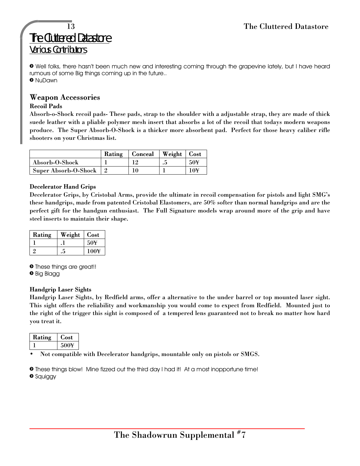# The Cluttered Datastore Various Contributors

» Well folks, there hasn't been much new and interesting coming through the grapevine lately, but I have heard rumours of some Big things coming up in the future.. » NuDawn

## Weapon Accessories

## Recoil Pads

Absorb-o-Shock recoil pads- These pads, strap to the shoulder with a adjustable strap, they are made of thick suede leather with a pliable polymer mesh insert that absorbs a lot of the recoil that todays modern weapons produce. The Super Absorb-O-Shock is a thicker more absorbent pad. Perfect for those heavy caliber rifle shooters on your Christmas list.

|                             | Rating | <b>Conceal</b> | Weight   Cost |                 |
|-----------------------------|--------|----------------|---------------|-----------------|
| Absorb-O-Shock              |        |                | ,             | 50 <sup>Y</sup> |
| <b>Super Absorb-O-Shock</b> |        |                |               | 10¥             |

## Decelerator Hand Grips

Decelerator Grips, by Cristobal Arms, provide the ultimate in recoil compensation for pistols and light SMG's these handgrips, made from patented Cristobal Elastomers, are 50% softer than normal handgrips and are the perfect gift for the handgun enthusiast. The Full Signature models wrap around more of the grip and have steel inserts to maintain their shape.

| Rating | Weight | Cost            |
|--------|--------|-----------------|
|        |        | 50 <sup>Y</sup> |
|        |        | 100¥            |

» These things are great!! » Big Blagg

## Handgrip Laser Sights

Handgrip Laser Sights, by Redfield arms, offer a alternative to the under barrel or top mounted laser sight. This sight offers the reliability and workmanship you would come to expect from Redfield. Mounted just to the right of the trigger this sight is composed of a tempered lens guaranteed not to break no matter how hard you treat it.

| ıσ<br>i atın<br>ĸ | Lost |
|-------------------|------|
|                   | 50   |

• Not compatible with Decelerator handgrips, mountable only on pistols or SMGS.

» These things blow! Mine fizzed out the third day I had it! At a most inopportune time! » Squiggy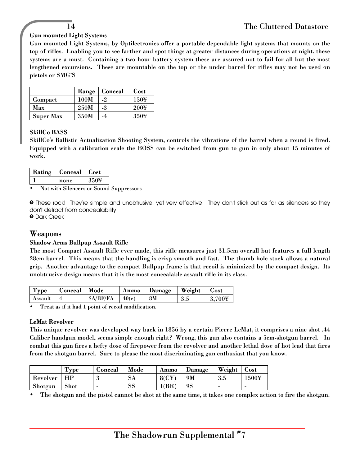## Gun mounted Light Systems

Gun mounted Light Systems, by Optilectronics offer a portable dependable light systems that mounts on the top of rifles. Enabling you to see farther and spot things at greater distances during operations at night, these systems are a must. Containing a two-hour battery system these are assured not to fail for all but the most lengthened excursions. These are mountable on the top or the under barrel for rifles may not be used on pistols or SMG'S

|                  | Range | Conceal | <b>Cost</b>      |
|------------------|-------|---------|------------------|
| Compact          | 100M  | $-2$    | 150¥             |
| Max              | 250M  | -3      | 200 <sup>Y</sup> |
| <b>Super Max</b> | 350M  | -4      | 350¥             |

## SkillCo BASS

SkillCo's Ballistic Actualization Shooting System, controls the vibrations of the barrel when a round is fired. Equipped with a calibration scale the BOSS can be switched from gun to gun in only about 15 minutes of work.

| Rating | Conceal | Cost |
|--------|---------|------|
|        | none    | 350  |

• Not with Silencers or Sound Suppressors

» These rock! They're simple and unobtrusive, yet very effective! They don't stick out as far as silencers so they don't detract from concealability

» Dark Creek

## Weapons

## Shadow Arms Bullpup Assault Rifle

The most Compact Assault Rifle ever made, this rifle measures just 31.5cm overall but features a full length 28cm barrel. This means that the handling is crisp smooth and fast. The thumb hole stock allows a natural grip. Another advantage to the compact Bullpup frame is that recoil is minimized by the compact design. Its unobtrusive design means that it is the most concealable assault rifle in its class.

| Type    | <b>Conceal</b> | Mode     | Ammo  | Damage | Weight | <b>Cost</b> |
|---------|----------------|----------|-------|--------|--------|-------------|
| Assault |                | SA/BF/FA | 40(c) | 8M     | 3.5    | 2.700¥      |

• Treat as if it had 1 point of recoil modification.

#### LeMat Revolver

This unique revolver was developed way back in 1856 by a certain Pierre LeMat, it comprises a nine shot .44 Caliber handgun model, seems simple enough right? Wrong, this gun also contains a 5cm-shotgun barrel. In combat this gun fires a hefty dose of firepower from the revolver and another lethal dose of hot lead that fires from the shotgun barrel. Sure to please the most discriminating gun enthusiast that you know.

|          | 'vpe | Lionceal | Mode          | Ammo   | Damage | Weight | Cost  |
|----------|------|----------|---------------|--------|--------|--------|-------|
| Revolver |      | . .      | $\mathcal{A}$ | 80 C Y | 9M     | 5.J    | .500¥ |
| Shotgun  | Shot | -        | νc            | (BR    | 9S     | -      |       |

• The shotgun and the pistol cannot be shot at the same time, it takes one complex action to fire the shotgun.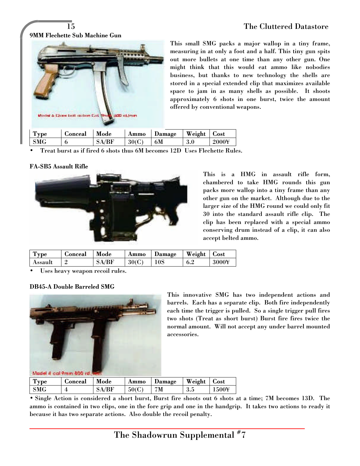9MM Flechette Sub Machine Gun



This small SMG packs a major wallop in a tiny frame, measuring in at only a foot and a half. This tiny gun spits out more bullets at one time than any other gun. One might think that this would eat ammo like nobodies business, but thanks to new technology the shells are stored in a special extended clip that maximizes available space to jam in as many shells as possible. It shoots approximately 6 shots in one burst, twice the amount offered by conventional weapons.

| <b>Type</b> | ∴onceal | Mode | Ammo  | Damage | Weight  | Cost  |
|-------------|---------|------|-------|--------|---------|-------|
| SMG         |         |      | 30(C) | 6M     | $3.0\,$ | 2000¥ |

• Treat burst as if fired 6 shots thus 6M becomes 12D Uses Flechette Rules.

#### FA-SB5 Assault Rifle



This is a HMG in assault rifle form, chambered to take HMG rounds this gun packs more wallop into a tiny frame than any other gun on the market. Although due to the larger size of the HMG round we could only fit 30 into the standard assault rifle clip. The clip has been replaced with a special ammo conserving drum instead of a clip, it can also accept belted ammo.

| --<br><b>Type</b> | ionceal | Mode | Ammo              | Damage | Weight | ${\sf \omega ost}$        |
|-------------------|---------|------|-------------------|--------|--------|---------------------------|
| Assaul.           |         |      | 30(C)<br><b>u</b> | 10S    | 6.2    | $3000\mathrm{\mathsf{Y}}$ |

Uses heavy weapon recoil rules.

#### DB45-A Double Barreled SMG



This innovative SMG has two independent actions and barrels. Each has a separate clip. Both fire independently each time the trigger is pulled. So a single trigger pull fires two shots (Treat as short burst) Burst fire fires twice the normal amount. Will not accept any under barrel mounted accessories.

| Type | <b>Gonceal</b> | Mode    | Ammo  | Damage | Weight | Cost |
|------|----------------|---------|-------|--------|--------|------|
| SMG  |                | S A /RF | 50(C) | 7M     | 3.5    | 500¥ |

• Single Action is considered a short burst, Burst fire shoots out 6 shots at a time; 7M becomes 13D. The ammo is contained in two clips, one in the fore grip and one in the handgrip. It takes two actions to ready it because it has two separate actions. Also double the recoil penalty.

The Shadowrun Supplemental  $^{\#}7$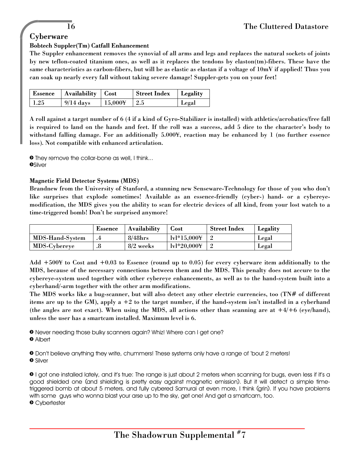## **Cyberware**

## Bobtech Suppler(Tm) Catfall Enhancement

The Suppler enhancement removes the synovial of all arms and legs and replaces the natural sockets of joints by new teflon-coated titanium ones, as well as it replaces the tendons by elaston(tm)-fibers. These have the same characteristics as carbon-fibers, but will be as elastic as elastan if a voltage of 10mV if applied! Thus you can soak up nearly every fall without taking severe damage! Suppler-gets you on your feet!

|      | Essence   Availability   Cost |                 | Street Index   Legality |       |
|------|-------------------------------|-----------------|-------------------------|-------|
| 1.25 | $9/14~{\rm days}$             | $\pm 15,000\pm$ | $\pm 2.5$               | Legal |

A roll against a target number of 6 (4 if a kind of Gyro-Stabilizer is installed) with athletics/acrobatics/free fall is required to land on the hands and feet. If the roll was a success, add 5 dice to the character's body to withstand falling damage. For an additionally 5.000¥, reaction may be enhanced by 1 (no further essence loss). Not compatible with enhanced articulation.

**•** They remove the collar-bone as well, I think... **OSilver** 

#### Magnetic Field Detector Systems (MDS)

Brandnew from the University of Stanford, a stunning new Senseware-Technology for those of you who don't like surprises that explode sometimes! Available as an essence-friendly (cyber-) hand- or a cybereyemodification, the MDS gives you the ability to scan for electric devices of all kind, from your lost watch to a time-triggered bomb! Don't be surprised anymore!

|                     | Essence | <b>Availability</b> | Cost                 | <b>Street Index</b> | Legality |
|---------------------|---------|---------------------|----------------------|---------------------|----------|
| MDS-Hand-System     |         | $8/48$ hrs          | $ v *15.0004$        |                     | Legal    |
| <b>MDS-Cybereye</b> | .o      | $8/2$ weeks         | $1\text{v}1*20.0004$ |                     | Legal    |

Add +500¥ to Cost and +0.03 to Essence (round up to 0.05) for every cyberware item additionally to the MDS, because of the necessary connections between them and the MDS. This penalty does not accure to the cybereye-system used together with other cybereye enhancements, as well as to the hand-system built into a cyberhand/-arm together with the other arm modifications.

The MDS works like a bug-scanner, but will also detect any other electric currencies, too (TN# of different items are up to the GM), apply a +2 to the target number, if the hand-system isn't installed in a cyberhand (the angles are not exact). When using the MDS, all actions other than scanning are at  $+4/+6$  (eye/hand), unless the user has a smartcam installed. Maximum level is 6.

» Never needing those bulky scanners again? Whiz! Where can I get one?

» Albert

» Don't believe anything they write, chummers! These systems only have a range of 'bout 2 meters! » Silver

» I got one installed lately, and it's true: The range is just about 2 meters when scanning for bugs, even less if it's a good shielded one (and shielding is pretty easy against magnetic emission). But it will detect a simple timetriggered bomb at about 5 meters, and fully cybered Samurai at even more, I think (grin). If you have problems with some guys who wonna blast your arse up to the sky, get one! And get a smartcam, too. » Cybertester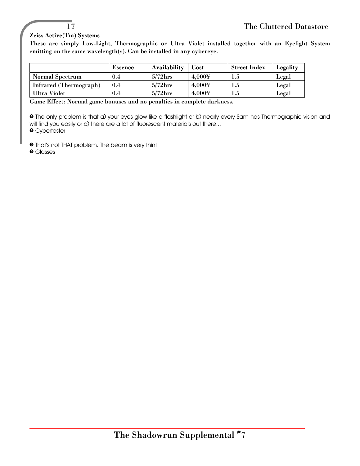## Zeiss Active(Tm) Systems

These are simply Low-Light, Thermographic or Ultra Violet installed together with an Eyelight System emitting on the same wavelength(s). Can be installed in any cybereye.

|                        | <b>Essence</b> | <b>Availability</b> | Cost            | <b>Street Index</b> | Legality |
|------------------------|----------------|---------------------|-----------------|---------------------|----------|
| <b>Normal Spectrum</b> | 0.4            | $5/72$ hrs          | 4.000¥          | $1.5\,$             | Legal    |
| Infrared (Thermograph) | 0.4            | $5/72$ hrs          | 4.000¥          | 1.5                 | Legal    |
| Ultra Violet           | $0.4\,$        | $5/72$ hrs          | $4.000\text{Y}$ | $1.5\,$             | Legal    |

Game Effect: Normal game bonuses and no penalties in complete darkness.

» The only problem is that a) your eyes glow like a flashlight or b) nearly every Sam has Thermographic vision and will find you easily or c) there are a lot of fluorescent materials out there...

» Cybertester

» That's not THAT problem. The beam is very thin!

» Glasses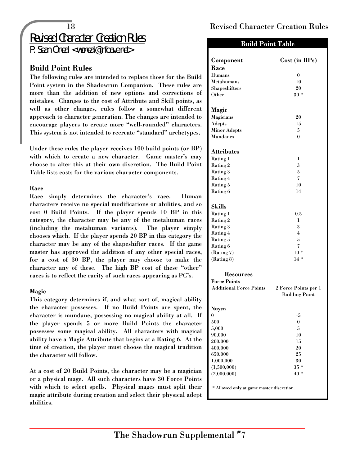# Revised Character Creation Rules

P. Sean 0`neal <woneal@infoave.net>

## Build Point Rules

The following rules are intended to replace those for the Build Point system in the Shadowrun Companion. These rules are more than the addition of new options and corrections of mistakes. Changes to the cost of Attribute and Skill points, as well as other changes, rules follow a somewhat different approach to character generation. The changes are intended to encourage players to create more "well-rounded" characters. This system is not intended to recreate "standard" archetypes.

Under these rules the player receives 100 build points (or BP) with which to create a new character. Game master's may choose to alter this at their own discretion. The Build Point Table lists costs for the various character components.

## Race

Race simply determines the character's race. Human characters receive no special modifications or abilities, and so cost 0 Build Points. If the player spends 10 BP in this category, the character may be any of the metahuman races (including the metahuman variants). The player simply chooses which. If the player spends 20 BP in this category the character may be any of the shapeshifter races. If the game master has approved the addition of any other special races, for a cost of 30 BP, the player may choose to make the character any of these. The high BP cost of these "other" races is to reflect the rarity of such races appearing as PC's.

## Magic

This category determines if, and what sort of, magical ability the character possesses. If no Build Points are spent, the character is mundane, possessing no magical ability at all. If the player spends 5 or more Build Points the character possesses some magical ability. All characters with magical ability have a Magic Attribute that begins at a Rating 6. At the time of creation, the player must choose the magical tradition the character will follow.

At a cost of 20 Build Points, the character may be a magician or a physical mage. All such characters have 30 Force Points with which to select spells. Physical mages must split their magic attribute during creation and select their physical adept abilities.

## 18 Revised Character Creation Rules

## Build Point Table

| Component                                 | Cost (in BPs)         |  |  |  |
|-------------------------------------------|-----------------------|--|--|--|
| Race                                      |                       |  |  |  |
| <b>Humans</b>                             | $\bf{0}$              |  |  |  |
| <b>Metahumans</b>                         | 10                    |  |  |  |
| Shapeshifters                             | 20                    |  |  |  |
| Other                                     | $30 *$                |  |  |  |
|                                           |                       |  |  |  |
| Magic                                     |                       |  |  |  |
| <b>Magicians</b>                          | 20                    |  |  |  |
| <b>Adepts</b>                             | 15                    |  |  |  |
| <b>Minor Adepts</b>                       | 5                     |  |  |  |
| <b>Mundanes</b>                           | $\theta$              |  |  |  |
|                                           |                       |  |  |  |
| <b>Attributes</b>                         |                       |  |  |  |
| Rating 1                                  | 1                     |  |  |  |
| Rating 2                                  | 3                     |  |  |  |
| Rating 3                                  | 5                     |  |  |  |
| Rating 4                                  | 7                     |  |  |  |
| Rating 5                                  | 10                    |  |  |  |
| Rating 6                                  | 14                    |  |  |  |
|                                           |                       |  |  |  |
| <b>Skills</b>                             |                       |  |  |  |
| Rating 1                                  | 0.5                   |  |  |  |
| Rating 2                                  | 1                     |  |  |  |
| Rating 3                                  | 3                     |  |  |  |
| Rating 4                                  | $\overline{4}$        |  |  |  |
| Rating 5                                  | 5                     |  |  |  |
| Rating 6                                  | 7<br>$10 *$           |  |  |  |
| (Rating 7)<br>(Rating 8)                  | $14*$                 |  |  |  |
|                                           |                       |  |  |  |
| <b>Resources</b>                          |                       |  |  |  |
| <b>Force Points</b>                       |                       |  |  |  |
| <b>Additional Force Points</b>            | 2 Force Points per 1  |  |  |  |
|                                           | <b>Building Point</b> |  |  |  |
|                                           |                       |  |  |  |
| Nuyen                                     |                       |  |  |  |
| $\boldsymbol{0}$                          | $-5$                  |  |  |  |
| 500                                       | $\boldsymbol{0}$      |  |  |  |
| 5,000                                     | 5                     |  |  |  |
| 90,000                                    | 10                    |  |  |  |
| 200,000                                   | 15                    |  |  |  |
| 400,000                                   | 20                    |  |  |  |
| 650,000                                   | 25                    |  |  |  |
| 1,000,000                                 | 30                    |  |  |  |
| (1,500,000)                               | $35*$                 |  |  |  |
| (2,000,000)                               | $40*$                 |  |  |  |
| * Allowed only at game master discretion. |                       |  |  |  |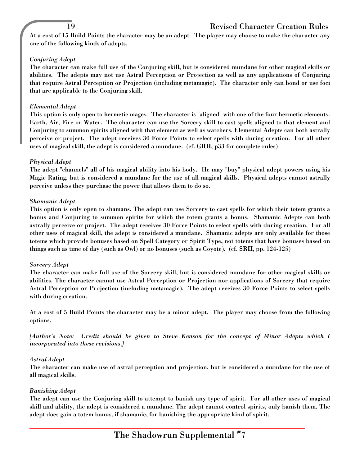## 19 Revised Character Creation Rules

At a cost of 15 Build Points the character may be an adept. The player may choose to make the character any one of the following kinds of adepts.

## *Conjuring Adept*

The character can make full use of the Conjuring skill, but is considered mundane for other magical skills or abilities. The adepts may not use Astral Perception or Projection as well as any applications of Conjuring that require Astral Perception or Projection (including metamagic). The character only can bond or use foci that are applicable to the Conjuring skill.

## *Elemental Adept*

This option is only open to hermetic mages. The character is "aligned" with one of the four hermetic elements: Earth, Air, Fire or Water. The character can use the Sorcery skill to cast spells aligned to that element and Conjuring to summon spirits aligned with that element as well as watchers. Elemental Adepts can both astrally perceive or project. The adept receives 30 Force Points to select spells with during creation. For all other uses of magical skill, the adept is considered a mundane. (cf. GRII, p33 for complete rules)

## *Physical Adept*

The adept "channels" all of his magical ability into his body. He may "buy" physical adept powers using his Magic Rating, but is considered a mundane for the use of all magical skills. Physical adepts cannot astrally perceive unless they purchase the power that allows them to do so.

## *Shamanic Adept*

This option is only open to shamans. The adept can use Sorcery to cast spells for which their totem grants a bonus and Conjuring to summon spirits for which the totem grants a bonus. Shamanic Adepts can both astrally perceive or project. The adept receives 30 Force Points to select spells with during creation. For all other uses of magical skill, the adept is considered a mundane. Shamanic adepts are only available for those totems which provide bonuses based on Spell Category or Spirit Type, not totems that have bonuses based on things such as time of day (such as Owl) or no bonuses (such as Coyote). (cf. SRII, pp. 124-125)

## *Sorcery Adept*

The character can make full use of the Sorcery skill, but is considered mundane for other magical skills or abilities. The character cannot use Astral Perception or Projection nor applications of Sorcery that require Astral Perception or Projection (including metamagic). The adept receives 30 Force Points to select spells with during creation.

At a cost of 5 Build Points the character may be a minor adept. The player may choose from the following options.

*[Author's Note: Credit should be given to Steve Kenson for the concept of Minor Adepts which I incorporated into these revisions.]*

## *Astral Adept*

The character can make use of astral perception and projection, but is considered a mundane for the use of all magical skills.

## *Banishing Adept*

The adept can use the Conjuring skill to attempt to banish any type of spirit. For all other uses of magical skill and ability, the adept is considered a mundane. The adept cannot control spirits, only banish them. The adept does gain a totem bonus, if shamanic, for banishing the appropriate kind of spirit.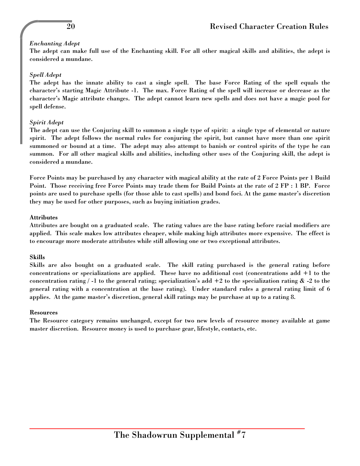## *Enchanting Adept*

The adept can make full use of the Enchanting skill. For all other magical skills and abilities, the adept is considered a mundane.

## *Spell Adept*

The adept has the innate ability to cast a single spell. The base Force Rating of the spell equals the character's starting Magic Attribute -1. The max. Force Rating of the spell will increase or decrease as the character's Magic attribute changes. The adept cannot learn new spells and does not have a magic pool for spell defense.

## *Spirit Adept*

The adept can use the Conjuring skill to summon a single type of spirit: a single type of elemental or nature spirit. The adept follows the normal rules for conjuring the spirit, but cannot have more than one spirit summoned or bound at a time. The adept may also attempt to banish or control spirits of the type he can summon. For all other magical skills and abilities, including other uses of the Conjuring skill, the adept is considered a mundane.

Force Points may be purchased by any character with magical ability at the rate of 2 Force Points per 1 Build Point. Those receiving free Force Points may trade them for Build Points at the rate of 2 FP : 1 BP. Force points are used to purchase spells (for those able to cast spells) and bond foci. At the game master's discretion they may be used for other purposes, such as buying initiation grades.

## Attributes

Attributes are bought on a graduated scale. The rating values are the base rating before racial modifiers are applied. This scale makes low attributes cheaper, while making high attributes more expensive. The effect is to encourage more moderate attributes while still allowing one or two exceptional attributes.

## Skills

Skills are also bought on a graduated scale. The skill rating purchased is the general rating before concentrations or specializations are applied. These have no additional cost (concentrations add +1 to the concentration rating  $/ -1$  to the general rating; specialization's add  $+2$  to the specialization rating  $\&$  -2 to the general rating with a concentration at the base rating). Under standard rules a general rating limit of 6 applies. At the game master's discretion, general skill ratings may be purchase at up to a rating 8.

## Resources

The Resource category remains unchanged, except for two new levels of resource money available at game master discretion. Resource money is used to purchase gear, lifestyle, contacts, etc.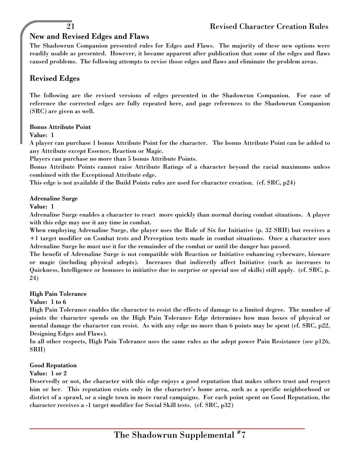## New and Revised Edges and Flaws

The Shadowrun Companion presented rules for Edges and Flaws. The majority of these new options were readily usable as presented. However, it became apparent after publication that some of the edges and flaws caused problems. The following attempts to revise those edges and flaws and eliminate the problem areas.

## Revised Edges

The following are the revised versions of edges presented in the Shadowrun Companion. For ease of reference the corrected edges are fully repeated here, and page references to the Shadowrun Companion (SRC) are given as well.

## Bonus Attribute Point

## Value: 1

A player can purchase 1 bonus Attribute Point for the character. The bonus Attribute Point can be added to any Attribute *except* Essence, Reaction or Magic.

Players can purchase no more than 5 bonus Attribute Points.

Bonus Attribute Points cannot raise Attribute Ratings of a character beyond the racial maximums unless combined with the Exceptional Attribute edge.

This edge is not available if the Build Points rules are used for character creation. (cf. SRC, p24)

#### Adrenaline Surge

#### Value: 1

Adrenaline Surge enables a character to react more quickly than normal during combat situations. A player with this edge may use it any time in combat.

When employing Adrenaline Surge, the player uses the Rule of Six for Initiative (p. 32 SRII) but receives a +1 target modifier on Combat tests and Perception tests made in combat situations. Once a character uses Adrenaline Surge he must use it for the remainder of the combat or until the danger has passed.

The benefit of Adrenaline Surge is not compatible with Reaction or Initiative enhancing cyberware, bioware or magic (including physical adepts). Increases that indirectly affect Initiative (such as increases to Quickness, Intelligence or bonuses to initiative due to surprise or special use of skills) still apply. (cf. SRC, p. 24)

#### High Pain Tolerance

## Value: 1 to 6

High Pain Tolerance enables the character to resist the effects of damage to a limited degree. The number of points the character spends on the High Pain Tolerance Edge determines how man boxes of physical or mental damage the character can resist. As with any edge no more than 6 points may be spent (cf. SRC, p22, Designing Edges and Flaws).

In all other respects, High Pain Tolerance uses the same rules as the adept power Pain Resistance (see p126, SRII)

## Good Reputation

## Value: 1 or 2

Deservedly or not, the character with this edge enjoys a good reputation that makes others trust and respect him or her. This reputation exists only in the character's home area, such as a specific neighborhood or district of a sprawl, or a single town in more rural campaigns. For each point spent on Good Reputation, the character receives a -1 target modifier for Social Skill tests. (cf. SRC, p32)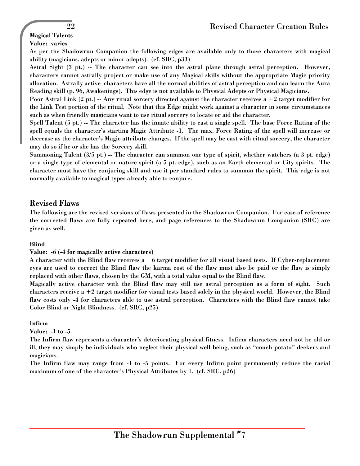## Magical Talents

## Value: varies

As per the Shadowrun Companion the following edges are available only to those characters with magical ability (magicians, adepts or minor adepts). (cf. SRC, p33)

Astral Sight (3 pt.) -- The character can see into the astral plane through astral perception. However, characters cannot astrally project or make use of any Magical skills without the appropriate Magic priority allocation. Astrally active characters have all the normal abilities of astral perception and can learn the Aura Reading skill (p. 96, Awakenings). This edge is not available to Physical Adepts or Physical Magicians.

Poor Astral Link  $(2 \text{ pt.})$  -- Any ritual sorcery directed against the character receives a  $+2$  target modifier for the Link Test portion of the ritual. Note that this Edge might work against a character in some circumstances such as when friendly magicians want to use ritual sorcery to locate or aid the character.

Spell Talent (5 pt.) -- The character has the innate ability to cast a single spell. The base Force Rating of the spell equals the character's starting Magic Attribute -1. The max. Force Rating of the spell will increase or decrease as the character's Magic attribute changes. If the spell may be cast with ritual sorcery, the character may do so if he or she has the Sorcery skill.

Summoning Talent (3/5 pt.) -- The character can summon one type of spirit, whether watchers (a 3 pt. edge) or a single type of elemental or nature spirit (a 5 pt. edge), such as an Earth elemental or City spirits. The character must have the conjuring skill and use it per standard rules to summon the spirit. This edge is not normally available to magical types already able to conjure.

## Revised Flaws

The following are the revised versions of flaws presented in the Shadowrun Companion. For ease of reference the corrected flaws are fully repeated here, and page references to the Shadowrun Companion (SRC) are given as well.

## Blind

#### Value: -6 (-4 for magically active characters)

A character with the Blind flaw receives a +6 target modifier for all visual based tests. If Cyber-replacement eyes are used to correct the Blind flaw the karma cost of the flaw must also be paid or the flaw is simply replaced with other flaws, chosen by the GM, with a total value equal to the Blind flaw.

Magically active character with the Blind flaw may still use astral perception as a form of sight. Such characters receive a +2 target modifier for visual tests based solely in the physical world. However, the Blind flaw costs only -4 for characters able to use astral perception. Characters with the Blind flaw cannot take Color Blind or Night Blindness. (cf. SRC, p25)

## Infirm

#### Value: -1 to -5

The Infirm flaw represents a character's deteriorating physical fitness. Infirm characters need not be old or ill, they may simply be individuals who neglect their physical well-being, such as "couch-potato" deckers and magicians.

The Infirm flaw may range from -1 to -5 points. For every Infirm point permanently reduce the racial maximum of one of the character's Physical Attributes by 1. (cf. SRC, p26)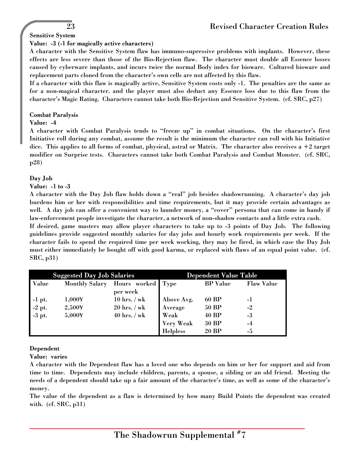## Sensitive System

## Value: -3 (-1 for magically active characters)

A character with the Sensitive System flaw has immuno-supressive problems with implants. However, these effects are less severe than those of the Bio-Rejection flaw. The character must double all Essence losses caused by cyberware implants, and incurs twice the normal Body index for bioware. Cultured bioware and replacement parts cloned from the character's own cells are not affected by this flaw.

If a character with this flaw is magically active, Sensitive System costs only -1. The penalties are the same as for a non-magical character. and the player must also deduct any Essence loss due to this flaw from the character's Magic Rating. Characters cannot take both Bio-Rejection and Sensitive System. (cf. SRC, p27)

#### Combat Paralysis

#### Value: -4

A character with Combat Paralysis tends to "freeze up" in combat situations. On the character's first Initiative roll during any combat, assume the result is the minimum the character can roll with his Initiative dice. This applies to all forms of combat, physical, astral or Matrix. The character also receives a +2 target modifier on Surprise tests. Characters cannot take both Combat Paralysis and Combat Monster. (cf. SRC, p28)

#### Day Job

#### Value: -1 to -3

A character with the Day Job flaw holds down a "real" job besides shadowrunning. A character's day job burdens him or her with responsibilities and time requirements, but it may provide certain advantages as well. A day job can offer a convenient way to launder money, a "cover" persona that can come in handy if law-enforcement people investigate the character, a network of non-shadow contacts and a little extra cash.

If desired, game masters may allow player characters to take up to -3 points of Day Job. The following guidelines provide suggested monthly salaries for day jobs and hourly work requirements per week. If the character fails to spend the required time per week working, they may be fired, in which case the Day Job must either immediately be bought off with good karma, or replaced with flaws of an equal point value. (cf. SRC, p31)

| <b>Suggested Day Job Salaries</b> |                       |                   | <b>Dependent Value Table</b> |                 |                   |
|-----------------------------------|-----------------------|-------------------|------------------------------|-----------------|-------------------|
| Value                             | <b>Monthly Salary</b> | Hours worked Type |                              | <b>BP</b> Value | <b>Flaw Value</b> |
|                                   |                       | per week          |                              |                 |                   |
|                                   | 1,000Y                | $10$ hrs. / wk    | Above Avg.                   | 60 BP           | -1                |
|                                   | 2,500¥                | $20$ hrs. / wk    | Average                      | 50 BP           | $-2$              |
| -1 pt.<br>-2 pt.<br>-3 pt.        | 5,000¥                | $40$ hrs. / wk    | <b>Weak</b>                  | 40 BP           | $-3$              |
|                                   |                       |                   | <b>Very Weak</b>             | 30 BP           | $-4$              |
|                                   |                       |                   | <b>Helpless</b>              | 20 BP           | -5                |

## Dependent

Value: varies

A character with the Dependent flaw has a loved one who depends on him or her for support and aid from time to time. Dependents may include children, parents, a spouse, a sibling or an old friend. Meeting the needs of a dependent should take up a fair amount of the character's time, as well as some of the character's money.

The value of the dependent as a flaw is determined by how many Build Points the dependent was created with. (cf. SRC, p31)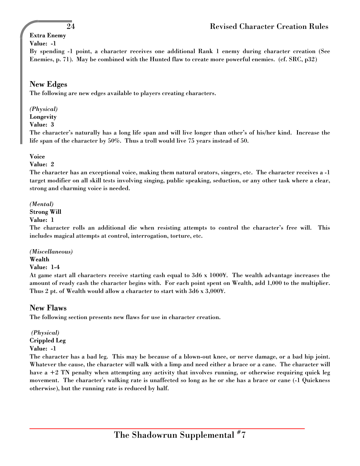## Extra Enemy

## Value: -1

By spending -1 point, a character receives one additional Rank 1 enemy during character creation (See Enemies, p. 71). May be combined with the Hunted flaw to create more powerful enemies. (cf. SRC, p32)

## New Edges

The following are new edges available to players creating characters.

## *(Physical)*

Longevity

## Value: 3

The character's naturally has a long life span and will live longer than other's of his/her kind. Increase the life span of the character by 50%. Thus a troll would live 75 years instead of 50.

## Voice

## Value: 2

The character has an exceptional voice, making them natural orators, singers, etc. The character receives a -1 target modifier on all skill tests involving singing, public speaking, seduction, or any other task where a clear, strong and charming voice is needed.

## *(Mental)*

Strong Will

## Value: 1

The character rolls an additional die when resisting attempts to control the character's free will. This includes magical attempts at control, interrogation, torture, etc.

## *(Miscellaneous)*

## Wealth

## Value: 1-4

At game start all characters receive starting cash equal to 3d6 x 1000¥. The wealth advantage increases the amount of ready cash the character begins with. For each point spent on Wealth, add 1,000 to the multiplier. Thus 2 pt. of Wealth would allow a character to start with 3d6 x 3,000¥.

## New Flaws

The following section presents new flaws for use in character creation.

 *(Physical)* Crippled Leg

## Value: -1

The character has a bad leg. This may be because of a blown-out knee, or nerve damage, or a bad hip joint. Whatever the cause, the character will walk with a limp and need either a brace or a cane. The character will have a +2 TN penalty when attempting any activity that involves running, or otherwise requiring quick leg movement. The character's walking rate is unaffected so long as he or she has a brace or cane (-1 Quickness otherwise), but the running rate is reduced by half.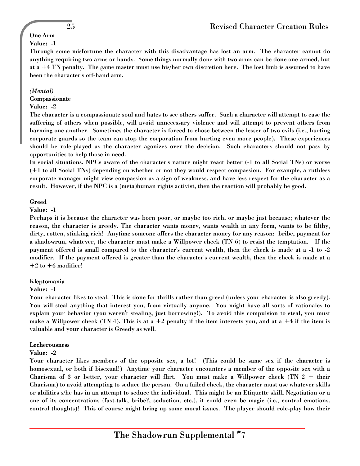#### One Arm Value: -1

Through some misfortune the character with this disadvantage has lost an arm. The character cannot do anything requiring two arms or hands. Some things normally done with two arms can be done one-armed, but at a +4 TN penalty. The game master must use his/her own discretion here. The lost limb is assumed to have been the character's off-hand arm.

#### *(Mental)*

Compassionate

## Value: -2

The character is a compassionate soul and hates to see others suffer. Such a character will attempt to ease the suffering of others when possible, will avoid unnecessary violence and will attempt to prevent others from harming one another. Sometimes the character is forced to chose between the lesser of two evils (i.e., hurting corporate guards so the team can stop the corporation from hurting even more people). These experiences should be role-played as the character agonizes over the decision. Such characters should not pass by opportunities to help those in need.

In social situations, NPCs aware of the character's nature might react better (-1 to all Social TNs) or worse (+1 to all Social TNs) depending on whether or not they would respect compassion. For example, a ruthless corporate manager might view compassion as a sign of weakness, and have less respect for the character as a result. However, if the NPC is a (meta)human rights activist, then the reaction will probably be good.

#### Greed

#### Value: -1

Perhaps it is because the character was born poor, or maybe too rich, or maybe just because; whatever the reason, the character is greedy. The character wants money, wants wealth in any form, wants to be filthy, dirty, rotten, stinking rich! Anytime someone offers the character money for any reason: bribe, payment for a shadowrun, whatever, the character must make a Willpower check (TN 6) to resist the temptation. If the payment offered is small compared to the character's current wealth, then the check is made at a -1 to -2 modifier. If the payment offered is greater than the character's current wealth, then the check is made at a  $+2$  to  $+6$  modifier!

## Kleptomania

## Value: -1

Your character likes to steal. This is done for thrills rather than greed (unless your character is also greedy). You will steal anything that interest you, from virtually anyone. You might have all sorts of rationales to explain your behavior (you weren't stealing, just borrowing!). To avoid this compulsion to steal, you must make a Willpower check (TN 4). This is at a  $+2$  penalty if the item interests you, and at a  $+4$  if the item is valuable and your character is Greedy as well.

## Lecherousness

## Value: -2

Your character likes members of the opposite sex, a lot! (This could be same sex if the character is homosexual, or both if bisexual!) Anytime your character encounters a member of the opposite sex with a Charisma of 3 or better, your character will flirt. You must make a Willpower check (TN  $2 +$  their Charisma) to avoid attempting to seduce the person. On a failed check, the character must use whatever skills or abilities s/he has in an attempt to seduce the individual. This might be an Etiquette skill, Negotiation or a one of its concentrations (fast-talk, bribe?, seduction, etc.), it could even be magic (i.e., control emotions, control thoughts)! This of course might bring up some moral issues. The player should role-play how their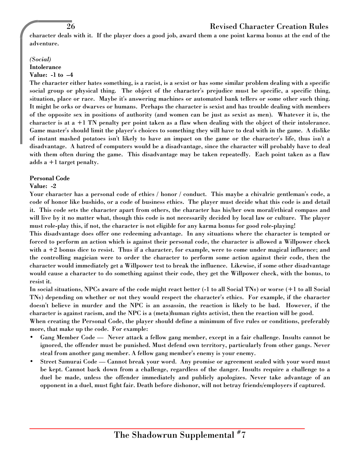## 26 Revised Character Creation Rules

character deals with it. If the player does a good job, award them a one point karma bonus at the end of the adventure.

#### *(Social)*

## **Intolerance**

## Value: -1 to –4

The character either hates something, is a racist, is a sexist or has some similar problem dealing with a specific social group or physical thing. The object of the character's prejudice must be specific, a specific thing, situation, place or race. Maybe it's answering machines or automated bank tellers or some other such thing. It might be orks or dwarves or humans. Perhaps the character is sexist and has trouble dealing with members of the opposite sex in positions of authority (and women can be just as sexist as men). Whatever it is, the character is at  $a +1$  TN penalty per point taken as a flaw when dealing with the object of their intolerance. Game master's should limit the player's choices to something they will have to deal with in the game. A dislike of instant mashed potatoes isn't likely to have an impact on the game or the character's life, thus isn't a disadvantage. A hatred of computers would be a disadvantage, since the character will probably have to deal with them often during the game. This disadvantage may be taken repeatedly. Each point taken as a flaw adds a +1 target penalty.

#### Personal Code

## Value: -2

Your character has a personal code of ethics / honor / conduct. This maybe a chivalric gentleman's code, a code of honor like bushido, or a code of business ethics. The player must decide what this code is and detail it. This code sets the character apart from others, the character has his/her own moral/ethical compass and will live by it no matter what, though this code is not necessarily decided by local law or culture. The player must role-play this, if not, the character is not eligible for any karma bonus for good role-playing!

This disadvantage does offer one redeeming advantage. In any situations where the character is tempted or forced to perform an action which is against their personal code, the character is allowed a Willpower check with a +2 bonus dice to resist. Thus if a character, for example, were to come under magical influence; and the controlling magician were to order the character to perform some action against their code, then the character would immediately get a Willpower test to break the influence. Likewise, if some other disadvantage would cause a character to do something against their code, they get the Willpower check, with the bonus, to resist it.

In social situations, NPCs aware of the code might react better (-1 to all Social TNs) or worse (+1 to all Social TNs) depending on whether or not they would respect the character's ethics. For example, if the character doesn't believe in murder and the NPC is an assassin, the reaction is likely to be bad. However, if the character is against racism, and the NPC is a (meta)human rights activist, then the reaction will be good.

When creating the Personal Code, the player should define a minimum of five rules or conditions, preferably more, that make up the code. For example:

- Gang Member Code Never attack a fellow gang member, except in a fair challenge. Insults cannot be ignored, the offender must be punished. Must defend own territory, particularly from other gangs. Never steal from another gang member. A fellow gang member's enemy is your enemy.
- Street Samurai Code Cannot break your word. Any promise or agreement sealed with your word must be kept. Cannot back down from a challenge, regardless of the danger. Insults require a challenge to a duel be made, unless the offender immediately and publicly apologizes. Never take advantage of an opponent in a duel, must fight fair. Death before dishonor, will not betray friends/employers if captured.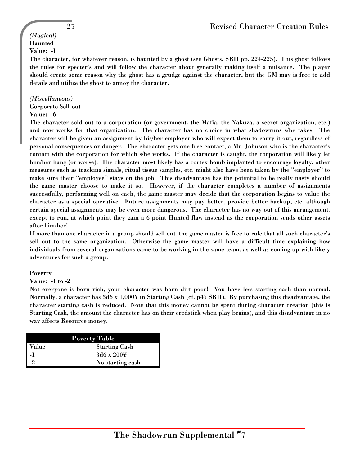#### *(Magical)* **Haunted**

## Value: -1

The character, for whatever reason, is haunted by a ghost (see Ghosts, SRII pp. 224-225). This ghost follows the rules for specter's and will follow the character about generally making itself a nuisance. The player should create some reason why the ghost has a grudge against the character, but the GM may is free to add details and utilize the ghost to annoy the character.

## *(Miscellaneous)*

## Corporate Sell-out

## Value: -6

The character sold out to a corporation (or government, the Mafia, the Yakuza, a secret organization, etc.) and now works for that organization. The character has no choice in what shadowruns s/he takes. The character will be given an assignment by his/her employer who will expect them to carry it out, regardless of personal consequences or danger. The character gets one free contact, a Mr. Johnson who is the character's contact with the corporation for which s/he works. If the character is caught, the corporation will likely let him/her hang (or worse). The character most likely has a cortex bomb implanted to encourage loyalty, other measures such as tracking signals, ritual tissue samples, etc. might also have been taken by the "employer" to make sure their "employee" stays on the job. This disadvantage has the potential to be really nasty should the game master choose to make it so. However, if the character completes a number of assignments successfully, performing well on each, the game master may decide that the corporation begins to value the character as a special operative. Future assignments may pay better, provide better backup, etc. although certain special assignments may be even more dangerous. The character has no way out of this arrangement, except to run, at which point they gain a 6 point Hunted flaw instead as the corporation sends other assets after him/her!

If more than one character in a group should sell out, the game master is free to rule that all such character's sell out to the same organization. Otherwise the game master will have a difficult time explaining how individuals from several organizations came to be working in the same team, as well as coming up with likely adventures for such a group.

## Poverty

## Value: -1 to -2

Not everyone is born rich, your character was born dirt poor! You have less starting cash than normal. Normally, a character has 3d6 x 1,000¥ in Starting Cash (cf. p47 SRII). By purchasing this disadvantage, the character starting cash is reduced. Note that this money cannot be spent during character creation (this is Starting Cash, the amount the character has on their credstick when play begins), and this disadvantage in no way affects Resource money.

| <b>Poverty Table</b> |                      |  |  |  |
|----------------------|----------------------|--|--|--|
| Value                | <b>Starting Cash</b> |  |  |  |
| -1                   | $3d6 \times 2004$    |  |  |  |
| $-2$                 | No starting cash     |  |  |  |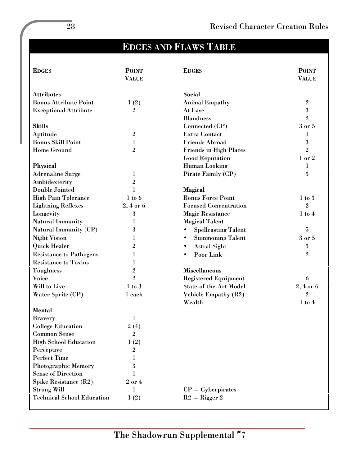# EDGES AND FLAWS TABLE

| <b>EDGES</b>                         | <b>POINT</b><br><b>VALUE</b> | <b>EDGES</b>                                  | <b>POINT</b><br><b>VALUE</b> |
|--------------------------------------|------------------------------|-----------------------------------------------|------------------------------|
|                                      |                              |                                               |                              |
| <b>Attributes</b>                    |                              | Social                                        |                              |
| <b>Bonus Attribute Point</b>         | 1(2)                         | <b>Animal Empathy</b>                         | $\overline{2}$               |
| <b>Exceptional Attribute</b>         | $\sqrt{2}$                   | At Ease                                       | 3                            |
| <b>Skills</b>                        |                              | <b>Blandness</b>                              | $\overline{2}$<br>3 or 5     |
|                                      |                              | Connected (CP)                                |                              |
| Aptitude<br><b>Bonus Skill Point</b> | $\sqrt{2}$                   | <b>Extra Contact</b><br><b>Friends Abroad</b> | 1<br>3                       |
|                                      | 1                            |                                               |                              |
| <b>Home Ground</b>                   | $\overline{2}$               | <b>Friends in High Places</b>                 | $\overline{2}$               |
|                                      |                              | <b>Good Reputation</b>                        | 1 or 2                       |
| <b>Physical</b>                      |                              | <b>Human Looking</b>                          | 1                            |
| <b>Adrenaline Surge</b>              | 1                            | Pirate Family (CP)                            | 3                            |
| Ambidexterity                        | $\mathbf{2}$                 |                                               |                              |
| Double Jointed                       | 1                            | <b>Magical</b>                                |                              |
| <b>High Pain Tolerance</b>           | $1$ to $6$                   | <b>Bonus Force Point</b>                      | $1$ to $3$                   |
| <b>Lightning Reflexes</b>            | $2,4$ or $6$                 | <b>Focused Concentration</b>                  | $\overline{2}$               |
| Longevity                            | 3                            | <b>Magic Resistance</b>                       | $1$ to $4$                   |
| <b>Natural Immunity</b>              | 1                            | <b>Magical Talent</b>                         |                              |
| <b>Natural Immunity (CP)</b>         | 3                            | <b>Spellcasting Talent</b>                    | $\overline{\mathbf{5}}$      |
| <b>Night Vision</b>                  | 1                            | <b>Summoning Talent</b>                       | 3 or 5                       |
| <b>Quick Healer</b>                  | $\overline{2}$               | <b>Astral Sight</b>                           | $\boldsymbol{3}$             |
| <b>Resistance to Pathogens</b>       | 1                            | Poor Link                                     | $\overline{2}$               |
| <b>Resistance to Toxins</b>          | 1                            |                                               |                              |
| <b>Toughness</b>                     | $\sqrt{2}$                   | <b>Miscellaneous</b>                          |                              |
| <b>Voice</b>                         | $\overline{2}$               | <b>Registered Equipment</b>                   | 6                            |
| Will to Live                         | $1$ to $3$                   | <b>State-of-the-Art Model</b>                 | $2,4$ or $6$                 |
| Water Sprite (CP)                    | 1 each                       | <b>Vehicle Empathy (R2)</b>                   | $\overline{2}$               |
|                                      |                              | Wealth                                        | $1$ to $4$                   |
| <b>Mental</b>                        |                              |                                               |                              |
| <b>Bravery</b>                       | 1                            |                                               |                              |
| <b>College Education</b>             | 2(4)                         |                                               |                              |
| <b>Common Sense</b>                  | $\overline{2}$               |                                               |                              |
| <b>High School Education</b>         | 1(2)                         |                                               |                              |
| Perceptive                           | $\overline{2}$               |                                               |                              |
| <b>Perfect Time</b>                  | 1                            |                                               |                              |
| <b>Photographic Memory</b>           | 3                            |                                               |                              |
| <b>Sense of Direction</b>            | 1                            |                                               |                              |
| Spike Resistance (R2)                | 2 or 4                       |                                               |                              |
| <b>Strong Will</b>                   | 1                            | $CP = Cyberpirates$                           |                              |
| <b>Technical School Education</b>    | 1(2)                         | $R2 = Rigger 2$                               |                              |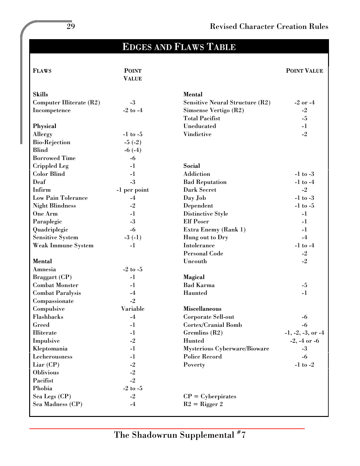# EDGES AND FLAWS TABLE

| <b>FLAWS</b>              | <b>POINT</b>            |                                        | <b>POINT VALUE</b>    |
|---------------------------|-------------------------|----------------------------------------|-----------------------|
|                           | <b>VALUE</b>            |                                        |                       |
| <b>Skills</b>             |                         | <b>Mental</b>                          |                       |
| Computer Illiterate (R2)  | $-3$                    | <b>Sensitive Neural Structure (R2)</b> | -2 or -4              |
| Incompetence              | $-2$ to $-4$            | Simsense Vertigo (R2)                  | $-2$                  |
|                           |                         | <b>Total Pacifist</b>                  | $-5$                  |
| Physical                  |                         | Uneducated                             | $-1$                  |
| Allergy                   | $-1$ to $-5$            | Vindictive                             | $-2$                  |
| <b>Bio-Rejection</b>      | $-5(-2)$                |                                        |                       |
| <b>Blind</b>              | $-6(-4)$                |                                        |                       |
| <b>Borrowed Time</b>      | $-6$                    |                                        |                       |
| <b>Crippled Leg</b>       | $-1$                    | <b>Social</b>                          |                       |
| <b>Color Blind</b>        | $-1$                    | Addiction                              | $-1$ to $-3$          |
| Deaf                      | $-3$                    | <b>Bad Reputation</b>                  | $-1$ to $-4$          |
| Infirm                    | -1 per point            | <b>Dark Secret</b>                     | $-2$                  |
| <b>Low Pain Tolerance</b> | $-4$                    | Day Job                                | -1 to -3 $\,$         |
| <b>Night Blindness</b>    | $-2$                    | Dependent                              | $-1$ to $-5$          |
| One Arm                   | $-1$                    | Distinctive Style                      | $-1$                  |
| Paraplegic                | $-3$                    | <b>Elf Poser</b>                       | $-1$                  |
| Quadriplegic              | $-6$                    | <b>Extra Enemy (Rank 1)</b>            | $-1$                  |
| <b>Sensitive System</b>   | $-3$ $(-1)$             | Hung out to Dry                        | $-4$                  |
| <b>Weak Immune System</b> | $-1$                    | Intolerance                            | $-1$ to $-4$          |
|                           |                         | <b>Personal Code</b>                   | $-2$                  |
| <b>Mental</b>             |                         | Uncouth                                | $-2$                  |
| Amnesia                   | $-2$ to $-5$            |                                        |                       |
| Braggart (CP)             | $-1$                    | <b>Magical</b>                         |                       |
| <b>Combat Monster</b>     | $-1$                    | <b>Bad Karma</b>                       | $-5$                  |
| <b>Combat Paralysis</b>   | $-4$                    | Haunted                                | $-1$                  |
| Compassionate             | $-2$                    |                                        |                       |
| Compulsive                | Variable                | <b>Miscellaneous</b>                   |                       |
| Flashbacks                | $-4$                    | <b>Corporate Sell-out</b>              | -6                    |
| Greed                     | $-1$                    | <b>Cortex/Cranial Bomb</b>             | $-6$                  |
| <b>Illiterate</b>         | $\mathbf{-1}$           | Gremlins (R2)                          | $-1, -2, -3,$ or $-4$ |
| Impulsive                 | $-2$                    | <b>Hunted</b>                          | $-2, -4$ or $-6$      |
| Kleptomania               | $-1$                    | <b>Mysterious Cyberware/Bioware</b>    | $-3$                  |
| Lecherousness             | $-1$                    | <b>Police Record</b>                   | $-6$                  |
| $Liar$ (CP)               | $^{\text{{\small -2}}}$ | Poverty                                | $-1$ to $-2$          |
| <b>Oblivious</b>          | $-2$                    |                                        |                       |
| Pacifist                  | $-2$                    |                                        |                       |
| Phobia                    | -2 to -5                |                                        |                       |
| Sea Legs (CP)             | $-2$                    | $CP = Cyberpirates$                    |                       |
| Sea Madness (CP)          | $-4$                    | $R2 = Rigger 2$                        |                       |
|                           |                         |                                        |                       |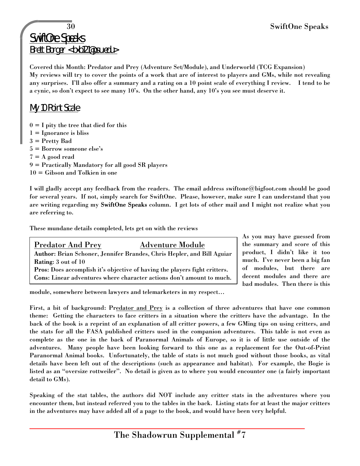## 30 SwiftOne Speaks

SwiftOne Speaks Brett Borger <bxb121@psu.edu>

Covered this Month: Predator and Prey (Adventure Set/Module), and Underworld (TCG Expansion) My reviews will try to cover the points of a work that are of interest to players and GMs, while not revealing any surprises. I'll also offer a summary and a rating on a 10 point scale of everything I review. I tend to be a cynic, so don't expect to see many 10's. On the other hand, any 10's you see must deserve it.

## My 10 Point Scale

- $0 = I$  pity the tree that died for this
- $1 = \text{Ignorance}$  is bliss
- 3 = Pretty Bad
- 5 = Borrow someone else's
- $7 = A$  good read
- 9 = Practically Mandatory for all good SR players
- 10 = Gibson and Tolkien in one

I will gladly accept any feedback from the readers. The email address swiftone@bigfoot.com should be good for several years. If not, simply search for SwiftOne. Please, however, make sure I can understand that you are writing regarding my SwiftOne Speaks column. I get lots of other mail and I might not realize what you are referring to.

These mundane details completed, lets get on with the reviews

# Predator And Prey Adventure Module

Author: Brian Schoner, Jennifer Brandes, Chris Hepler, and Bill Aguiar Rating: 3 out of 10

Pros: Does accomplish it's objective of having the players fight critters. Cons: Linear adventures where character actions don't amount to much. As you may have guessed from the summary and score of this product, I didn't like it too much. I've never been a big fan of modules, but there are decent modules and there are bad modules. Then there is this

module, somewhere between lawyers and telemarketers in my respect…

First, a bit of background: Predator and Prey is a collection of three adventures that have one common theme: Getting the characters to face critters in a situation where the critters have the advantage. In the back of the book is a reprint of an explanation of all critter powers, a few GMing tips on using critters, and the stats for all the FASA published critters used in the companion adventures. This table is not even as complete as the one in the back of Paranormal Animals of Europe, so it is of little use outside of the adventures. Many people have been looking forward to this one as a replacement for the Out-of-Print Paranormal Animal books. Unfortunately, the table of stats is not much good without those books, as vital details have been left out of the descriptions (such as appearance and habitat). For example, the Bogie is listed as an "oversize rottweiler". No detail is given as to where you would encounter one (a fairly important detail to GMs).

Speaking of the stat tables, the authors did NOT include any critter stats in the adventures where you encounter them, but instead referred you to the tables in the back. Listing stats for at least the major critters in the adventures may have added all of a page to the book, and would have been very helpful.

The Shadowrun Supplemental  $^{\#}7$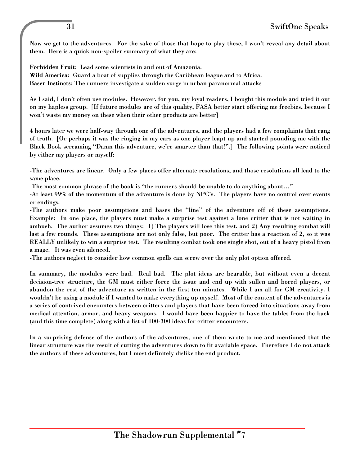Now we get to the adventures. For the sake of those that hope to play these, I won't reveal any detail about them. Here is a quick non-spoiler summary of what they are:

Forbidden Fruit: Lead some scientists in and out of Amazonia. Wild America: Guard a boat of supplies through the Caribbean league and to Africa. Baser Instincts: The runners investigate a sudden surge in urban paranormal attacks

As I said, I don't often use modules. However, for you, my loyal readers, I bought this module and tried it out on my hapless group. [If future modules are of this quality, FASA better start offering me freebies, because I won't waste my money on these when their other products are better]

4 hours later we were half-way through one of the adventures, and the players had a few complaints that rang of truth. [Or perhaps it was the ringing in my ears as one player leapt up and started pounding me with the Black Book screaming "Damn this adventure, we're smarter than that!".] The following points were noticed by either my players or myself:

-The adventures are linear. Only a few places offer alternate resolutions, and those resolutions all lead to the same place.

-The most common phrase of the book is "the runners should be unable to do anything about…"

-At least 99% of the momentum of the adventure is done by NPC's. The players have no control over events or endings.

-The authors make poor assumptions and bases the "line" of the adventure off of these assumptions. Example: In one place, the players must make a surprise test against a lone critter that is not waiting in ambush. The author assumes two things: 1) The players will lose this test, and 2) Any resulting combat will last a few rounds. These assumptions are not only false, but poor. The critter has a reaction of 2, so it was REALLY unlikely to win a surprise test. The resulting combat took one single shot, out of a heavy pistol from a mage. It was even silenced.

-The authors neglect to consider how common spells can screw over the only plot option offered.

In summary, the modules were bad. Real bad. The plot ideas are bearable, but without even a decent decision-tree structure, the GM must either force the issue and end up with sullen and bored players, or abandon the rest of the adventure as written in the first ten minutes. While I am all for GM creativity, I wouldn't be using a module if I wanted to make everything up myself. Most of the content of the adventures is a series of contrived encounters between critters and players that have been forced into situations away from medical attention, armor, and heavy weapons. I would have been happier to have the tables from the back (and this time complete) along with a list of 100-300 ideas for critter encounters.

In a surprising defense of the authors of the adventures, one of them wrote to me and mentioned that the linear structure was the result of cutting the adventures down to fit available space. Therefore I do not attack the authors of these adventures, but I most definitely dislike the end product.